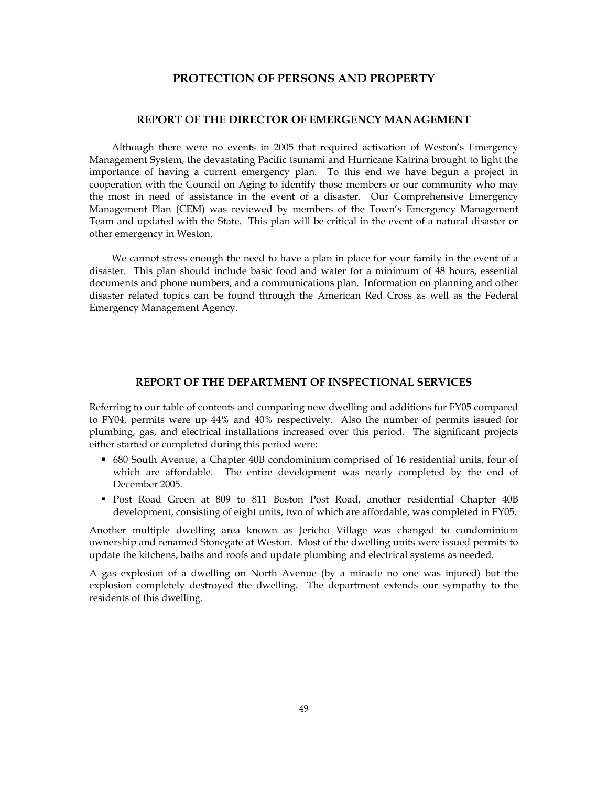## **PROTECTION OF PERSONS AND PROPERTY**

### **REPORT OF THE DIRECTOR OF EMERGENCY MANAGEMENT**

 Although there were no events in 2005 that required activation of Weston's Emergency Management System, the devastating Pacific tsunami and Hurricane Katrina brought to light the importance of having a current emergency plan. To this end we have begun a project in cooperation with the Council on Aging to identify those members or our community who may the most in need of assistance in the event of a disaster. Our Comprehensive Emergency Management Plan (CEM) was reviewed by members of the Town's Emergency Management Team and updated with the State. This plan will be critical in the event of a natural disaster or other emergency in Weston.

 We cannot stress enough the need to have a plan in place for your family in the event of a disaster. This plan should include basic food and water for a minimum of 48 hours, essential documents and phone numbers, and a communications plan. Information on planning and other disaster related topics can be found through the American Red Cross as well as the Federal Emergency Management Agency.

### **REPORT OF THE DEPARTMENT OF INSPECTIONAL SERVICES**

Referring to our table of contents and comparing new dwelling and additions for FY05 compared to FY04, permits were up 44% and 40% respectively. Also the number of permits issued for plumbing, gas, and electrical installations increased over this period. The significant projects either started or completed during this period were:

- 680 South Avenue, a Chapter 40B condominium comprised of 16 residential units, four of which are affordable. The entire development was nearly completed by the end of December 2005.
- Post Road Green at 809 to 811 Boston Post Road, another residential Chapter 40B development, consisting of eight units, two of which are affordable, was completed in FY05.

Another multiple dwelling area known as Jericho Village was changed to condominium ownership and renamed Stonegate at Weston. Most of the dwelling units were issued permits to update the kitchens, baths and roofs and update plumbing and electrical systems as needed.

A gas explosion of a dwelling on North Avenue (by a miracle no one was injured) but the explosion completely destroyed the dwelling. The department extends our sympathy to the residents of this dwelling.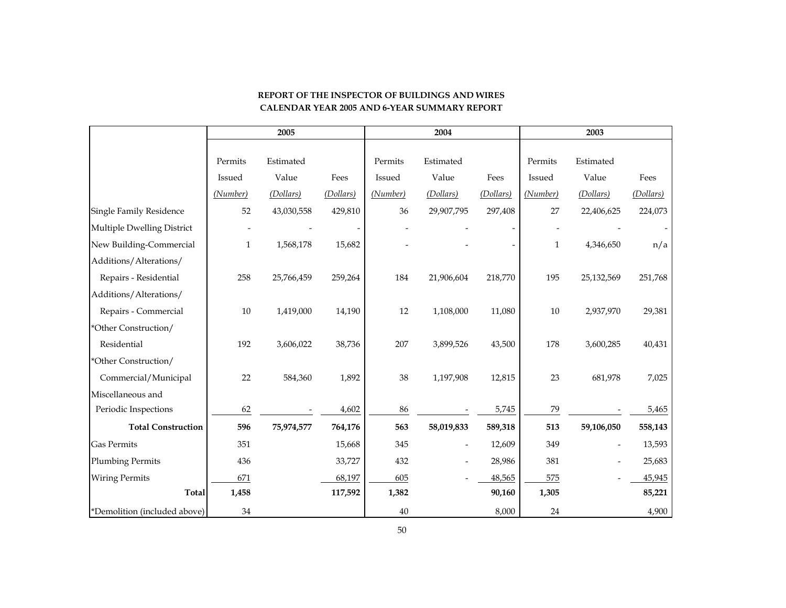|                              |              | 2005       |           |          | 2004                     |           |              | 2003                     |           |
|------------------------------|--------------|------------|-----------|----------|--------------------------|-----------|--------------|--------------------------|-----------|
|                              | Permits      | Estimated  |           | Permits  | Estimated                |           | Permits      | Estimated                |           |
|                              | Issued       | Value      | Fees      | Issued   | Value                    | Fees      | Issued       | Value                    | Fees      |
|                              | (Number)     | (Dollars)  | (Dollars) | (Number) | (Dollars)                | (Dollars) | (Number)     | (Dollars)                | (Dollars) |
| Single Family Residence      | 52           | 43,030,558 | 429,810   | 36       | 29,907,795               | 297,408   | 27           | 22,406,625               | 224,073   |
| Multiple Dwelling District   |              |            |           |          |                          |           |              |                          |           |
| New Building-Commercial      | $\mathbf{1}$ | 1,568,178  | 15,682    |          |                          |           | $\mathbf{1}$ | 4,346,650                | n/a       |
| Additions/Alterations/       |              |            |           |          |                          |           |              |                          |           |
| Repairs - Residential        | 258          | 25,766,459 | 259,264   | 184      | 21,906,604               | 218,770   | 195          | 25,132,569               | 251,768   |
| Additions/Alterations/       |              |            |           |          |                          |           |              |                          |           |
| Repairs - Commercial         | 10           | 1,419,000  | 14,190    | 12       | 1,108,000                | 11,080    | 10           | 2,937,970                | 29,381    |
| *Other Construction/         |              |            |           |          |                          |           |              |                          |           |
| Residential                  | 192          | 3,606,022  | 38,736    | 207      | 3,899,526                | 43,500    | 178          | 3,600,285                | 40,431    |
| *Other Construction/         |              |            |           |          |                          |           |              |                          |           |
| Commercial/Municipal         | 22           | 584,360    | 1,892     | 38       | 1,197,908                | 12,815    | 23           | 681,978                  | 7,025     |
| Miscellaneous and            |              |            |           |          |                          |           |              |                          |           |
| Periodic Inspections         | 62           |            | 4,602     | 86       |                          | 5,745     | 79           |                          | 5,465     |
| <b>Total Construction</b>    | 596          | 75,974,577 | 764,176   | 563      | 58,019,833               | 589,318   | 513          | 59,106,050               | 558,143   |
| <b>Gas Permits</b>           | 351          |            | 15,668    | 345      | $\overline{\phantom{a}}$ | 12,609    | 349          | $\overline{\phantom{0}}$ | 13,593    |
| <b>Plumbing Permits</b>      | 436          |            | 33,727    | 432      |                          | 28,986    | 381          |                          | 25,683    |
| <b>Wiring Permits</b>        | 671          |            | 68,197    | 605      |                          | 48,565    | 575          |                          | 45,945    |
| <b>Total</b>                 | 1,458        |            | 117,592   | 1,382    |                          | 90,160    | 1,305        |                          | 85,221    |
| *Demolition (included above) | 34           |            |           | 40       |                          | 8,000     | 24           |                          | 4,900     |

## **REPORT OF THE INSPECTOR OF BUILDINGS AND WIRESCALENDAR YEAR 2005 AND 6-YEAR SUMMARY REPORT**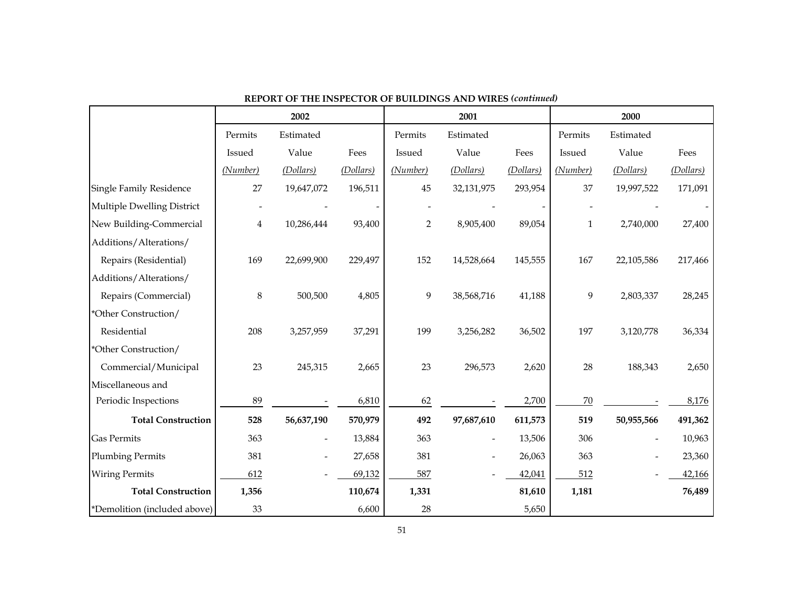|                              |               | 2002                     |           |                | 2001                     |                          |               | 2000       |           |
|------------------------------|---------------|--------------------------|-----------|----------------|--------------------------|--------------------------|---------------|------------|-----------|
|                              | Permits       | Estimated                |           | Permits        | Estimated                |                          | Permits       | Estimated  |           |
|                              | <b>Issued</b> | Value                    | Fees      | Issued         | Value                    | Fees                     | <b>Issued</b> | Value      | Fees      |
|                              | (Number)      | (Dollars)                | (Dollars) | (Number)       | (Dollars)                | (Dollars)                | (Number)      | (Dollars)  | (Dollars) |
| Single Family Residence      | 27            | 19,647,072               | 196,511   | 45             | 32,131,975               | 293,954                  | 37            | 19,997,522 | 171,091   |
| Multiple Dwelling District   |               |                          |           |                |                          | $\overline{\phantom{a}}$ |               |            |           |
| New Building-Commercial      | 4             | 10,286,444               | 93,400    | $\overline{2}$ | 8,905,400                | 89,054                   | 1             | 2,740,000  | 27,400    |
| Additions/Alterations/       |               |                          |           |                |                          |                          |               |            |           |
| Repairs (Residential)        | 169           | 22,699,900               | 229,497   | 152            | 14,528,664               | 145,555                  | 167           | 22,105,586 | 217,466   |
| Additions/Alterations/       |               |                          |           |                |                          |                          |               |            |           |
| Repairs (Commercial)         | $\,8\,$       | 500,500                  | 4,805     | 9              | 38,568,716               | 41,188                   | 9             | 2,803,337  | 28,245    |
| *Other Construction/         |               |                          |           |                |                          |                          |               |            |           |
| Residential                  | 208           | 3,257,959                | 37,291    | 199            | 3,256,282                | 36,502                   | 197           | 3,120,778  | 36,334    |
| *Other Construction/         |               |                          |           |                |                          |                          |               |            |           |
| Commercial/Municipal         | 23            | 245,315                  | 2,665     | 23             | 296,573                  | 2,620                    | 28            | 188,343    | 2,650     |
| Miscellaneous and            |               |                          |           |                |                          |                          |               |            |           |
| Periodic Inspections         | 89            |                          | 6,810     | 62             |                          | 2,700                    | $70\,$        |            | 8,176     |
| <b>Total Construction</b>    | 528           | 56,637,190               | 570,979   | 492            | 97,687,610               | 611,573                  | 519           | 50,955,566 | 491,362   |
| <b>Gas Permits</b>           | 363           | $\overline{\phantom{a}}$ | 13,884    | 363            | $\overline{\phantom{a}}$ | 13,506                   | 306           |            | 10,963    |
| <b>Plumbing Permits</b>      | 381           |                          | 27,658    | 381            |                          | 26,063                   | 363           |            | 23,360    |
| <b>Wiring Permits</b>        | 612           |                          | 69,132    | 587            |                          | 42,041                   | 512           |            | 42,166    |
| <b>Total Construction</b>    | 1,356         |                          | 110,674   | 1,331          |                          | 81,610                   | 1,181         |            | 76,489    |
| *Demolition (included above) | 33            |                          | 6,600     | 28             |                          | 5,650                    |               |            |           |

**REPORT OF THE INSPECTOR OF BUILDINGS AND WIRES** *(continued)*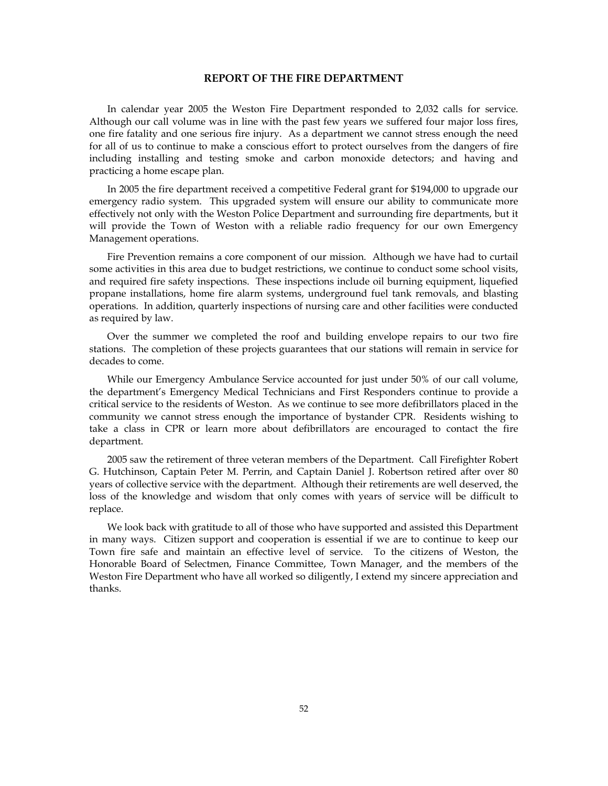#### **REPORT OF THE FIRE DEPARTMENT**

 In calendar year 2005 the Weston Fire Department responded to 2,032 calls for service. Although our call volume was in line with the past few years we suffered four major loss fires, one fire fatality and one serious fire injury. As a department we cannot stress enough the need for all of us to continue to make a conscious effort to protect ourselves from the dangers of fire including installing and testing smoke and carbon monoxide detectors; and having and practicing a home escape plan.

 In 2005 the fire department received a competitive Federal grant for \$194,000 to upgrade our emergency radio system. This upgraded system will ensure our ability to communicate more effectively not only with the Weston Police Department and surrounding fire departments, but it will provide the Town of Weston with a reliable radio frequency for our own Emergency Management operations.

 Fire Prevention remains a core component of our mission. Although we have had to curtail some activities in this area due to budget restrictions, we continue to conduct some school visits, and required fire safety inspections. These inspections include oil burning equipment, liquefied propane installations, home fire alarm systems, underground fuel tank removals, and blasting operations. In addition, quarterly inspections of nursing care and other facilities were conducted as required by law.

 Over the summer we completed the roof and building envelope repairs to our two fire stations. The completion of these projects guarantees that our stations will remain in service for decades to come.

 While our Emergency Ambulance Service accounted for just under 50% of our call volume, the department's Emergency Medical Technicians and First Responders continue to provide a critical service to the residents of Weston. As we continue to see more defibrillators placed in the community we cannot stress enough the importance of bystander CPR. Residents wishing to take a class in CPR or learn more about defibrillators are encouraged to contact the fire department.

 2005 saw the retirement of three veteran members of the Department. Call Firefighter Robert G. Hutchinson, Captain Peter M. Perrin, and Captain Daniel J. Robertson retired after over 80 years of collective service with the department. Although their retirements are well deserved, the loss of the knowledge and wisdom that only comes with years of service will be difficult to replace.

 We look back with gratitude to all of those who have supported and assisted this Department in many ways. Citizen support and cooperation is essential if we are to continue to keep our Town fire safe and maintain an effective level of service. To the citizens of Weston, the Honorable Board of Selectmen, Finance Committee, Town Manager, and the members of the Weston Fire Department who have all worked so diligently, I extend my sincere appreciation and thanks.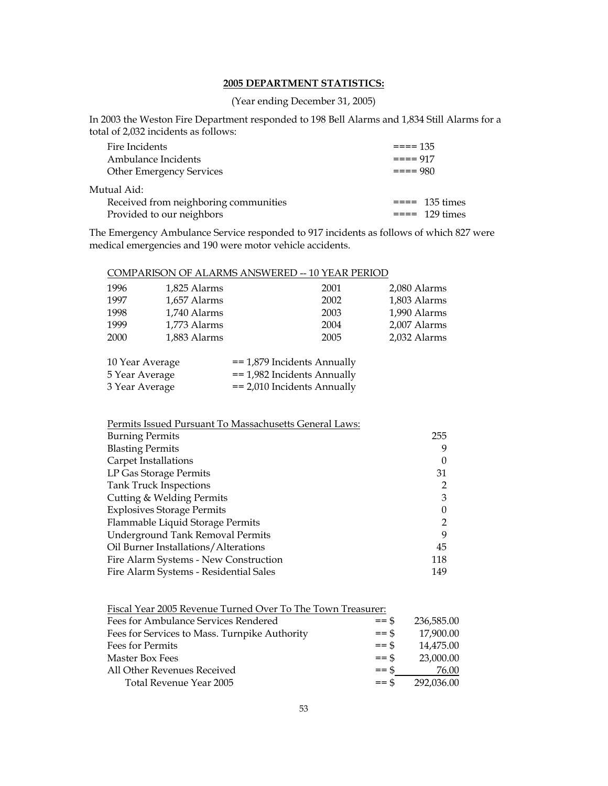## **2005 DEPARTMENT STATISTICS:**

(Year ending December 31, 2005)

In 2003 the Weston Fire Department responded to 198 Bell Alarms and 1,834 Still Alarms for a total of 2,032 incidents as follows:

| Fire Incidents                        | $== == 135$           |
|---------------------------------------|-----------------------|
| Ambulance Incidents                   | $===917$              |
| <b>Other Emergency Services</b>       | $= == 980$            |
| Mutual Aid:                           |                       |
| Received from neighboring communities | $= == 135 \times 100$ |
| Provided to our neighbors             | $== = 129$ times      |

The Emergency Ambulance Service responded to 917 incidents as follows of which 827 were medical emergencies and 190 were motor vehicle accidents.

## COMPARISON OF ALARMS ANSWERED -- 10 YEAR PERIOD

| 1996                               | 1,825 Alarms | 2001 | 2,080 Alarms |
|------------------------------------|--------------|------|--------------|
| 1997                               | 1,657 Alarms | 2002 | 1,803 Alarms |
| 1998                               | 1,740 Alarms | 2003 | 1,990 Alarms |
| 1999                               | 1,773 Alarms | 2004 | 2,007 Alarms |
| 2000                               | 1,883 Alarms | 2005 | 2,032 Alarms |
|                                    |              |      |              |
| $\sim$ $\sim$ $\sim$ $\sim$ $\sim$ |              |      |              |

| 10 Year Average | $=$ 1,879 Incidents Annually |
|-----------------|------------------------------|
| 5 Year Average  | $=$ 1,982 Incidents Annually |
| 3 Year Average  | $=$ 2,010 Incidents Annually |

| 255 |
|-----|
| 9   |
|     |
| 31  |
| 2   |
| 3   |
| 0   |
| 2   |
| 9   |
| 45  |
| 118 |
| 149 |
|     |

| Fiscal Year 2005 Revenue Turned Over To The Town Treasurer: |
|-------------------------------------------------------------|
|-------------------------------------------------------------|

| Fees for Ambulance Services Rendered          | $=$ \$  | 236,585.00 |
|-----------------------------------------------|---------|------------|
| Fees for Services to Mass. Turnpike Authority | $=$ \$  | 17,900.00  |
| <b>Fees for Permits</b>                       | $=$ \$  | 14.475.00  |
| Master Box Fees                               | $=$ \$  | 23,000.00  |
| All Other Revenues Received                   | $=$ \$  | 76.00      |
| Total Revenue Year 2005                       | $==$ \$ | 292.036.00 |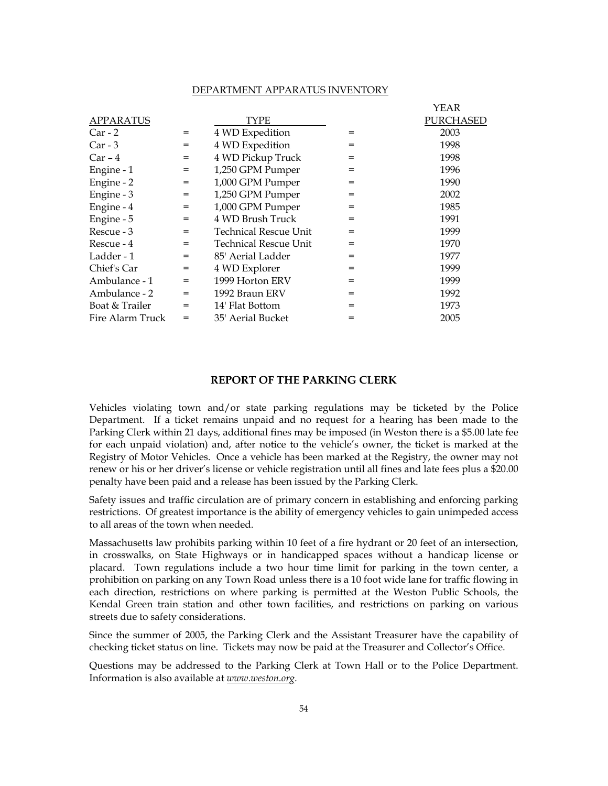#### DEPARTMENT APPARATUS INVENTORY

|                  |                                              |                              |     | YEAR             |
|------------------|----------------------------------------------|------------------------------|-----|------------------|
| <b>APPARATUS</b> |                                              | TYPE                         |     | <b>PURCHASED</b> |
| $Car - 2$        | $\displaystyle \qquad \qquad =\qquad \qquad$ | 4 WD Expedition              | $=$ | 2003             |
| $Car - 3$        | $\displaystyle \qquad \qquad =\qquad \qquad$ | 4 WD Expedition              | $=$ | 1998             |
| $Car - 4$        | $=$                                          | 4 WD Pickup Truck            | $=$ | 1998             |
| Engine - 1       | $=$                                          | 1,250 GPM Pumper             | $=$ | 1996             |
| Engine - 2       | $=$                                          | 1,000 GPM Pumper             | $=$ | 1990             |
| Engine - 3       | $=$                                          | 1,250 GPM Pumper             | $=$ | 2002             |
| Engine - 4       | $=$                                          | 1,000 GPM Pumper             | $=$ | 1985             |
| Engine - 5       | $=$                                          | 4 WD Brush Truck             | $=$ | 1991             |
| Rescue - 3       | $=$                                          | <b>Technical Rescue Unit</b> | $=$ | 1999             |
| Rescue - 4       | $\displaystyle \qquad \qquad =\qquad \qquad$ | <b>Technical Rescue Unit</b> | $=$ | 1970             |
| Ladder - 1       | $\qquad \qquad =$                            | 85' Aerial Ladder            | $=$ | 1977             |
| Chief's Car      | $=$                                          | 4 WD Explorer                | $=$ | 1999             |
| Ambulance - 1    | $=$                                          | 1999 Horton ERV              | $=$ | 1999             |
| Ambulance - 2    | $=$                                          | 1992 Braun ERV               | $=$ | 1992             |
| Boat & Trailer   | $=$                                          | 14' Flat Bottom              | $=$ | 1973             |
| Fire Alarm Truck | $=$                                          | 35' Aerial Bucket            | $=$ | 2005             |

#### **REPORT OF THE PARKING CLERK**

Vehicles violating town and/or state parking regulations may be ticketed by the Police Department. If a ticket remains unpaid and no request for a hearing has been made to the Parking Clerk within 21 days, additional fines may be imposed (in Weston there is a \$5.00 late fee for each unpaid violation) and, after notice to the vehicle's owner, the ticket is marked at the Registry of Motor Vehicles. Once a vehicle has been marked at the Registry, the owner may not renew or his or her driver's license or vehicle registration until all fines and late fees plus a \$20.00 penalty have been paid and a release has been issued by the Parking Clerk.

Safety issues and traffic circulation are of primary concern in establishing and enforcing parking restrictions. Of greatest importance is the ability of emergency vehicles to gain unimpeded access to all areas of the town when needed.

Massachusetts law prohibits parking within 10 feet of a fire hydrant or 20 feet of an intersection, in crosswalks, on State Highways or in handicapped spaces without a handicap license or placard. Town regulations include a two hour time limit for parking in the town center, a prohibition on parking on any Town Road unless there is a 10 foot wide lane for traffic flowing in each direction, restrictions on where parking is permitted at the Weston Public Schools, the Kendal Green train station and other town facilities, and restrictions on parking on various streets due to safety considerations.

Since the summer of 2005, the Parking Clerk and the Assistant Treasurer have the capability of checking ticket status on line. Tickets may now be paid at the Treasurer and Collector's Office.

Questions may be addressed to the Parking Clerk at Town Hall or to the Police Department. Information is also available at *www.weston.org*.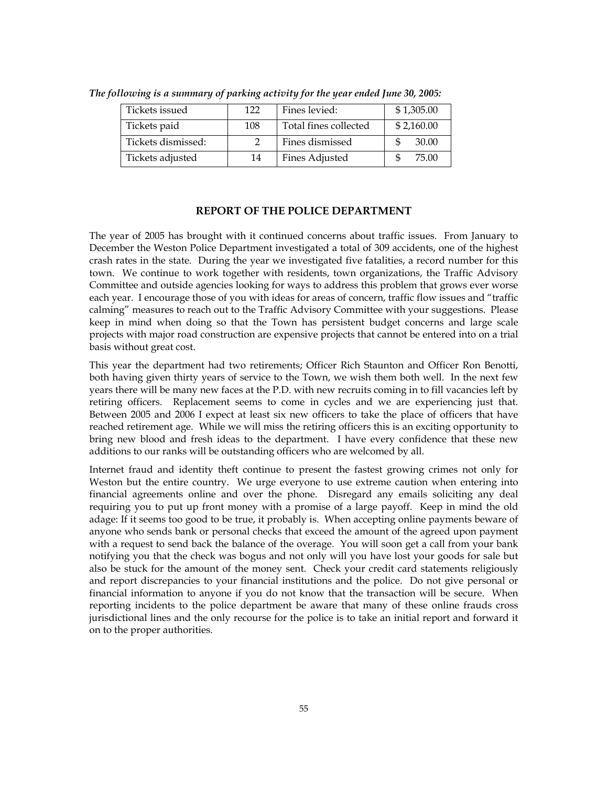| Tickets issued     | 122 | Fines levied:         | \$1,305.00 |
|--------------------|-----|-----------------------|------------|
| Tickets paid       | 108 | Total fines collected | \$2,160.00 |
| Tickets dismissed: |     | Fines dismissed       | 30.00      |
| Tickets adjusted   | 14  | <b>Fines Adjusted</b> | 75.00      |

*The following is a summary of parking activity for the year ended June 30, 2005:* 

## **REPORT OF THE POLICE DEPARTMENT**

The year of 2005 has brought with it continued concerns about traffic issues. From January to December the Weston Police Department investigated a total of 309 accidents, one of the highest crash rates in the state. During the year we investigated five fatalities, a record number for this town. We continue to work together with residents, town organizations, the Traffic Advisory Committee and outside agencies looking for ways to address this problem that grows ever worse each year. I encourage those of you with ideas for areas of concern, traffic flow issues and "traffic calming" measures to reach out to the Traffic Advisory Committee with your suggestions. Please keep in mind when doing so that the Town has persistent budget concerns and large scale projects with major road construction are expensive projects that cannot be entered into on a trial basis without great cost.

This year the department had two retirements; Officer Rich Staunton and Officer Ron Benotti, both having given thirty years of service to the Town, we wish them both well. In the next few years there will be many new faces at the P.D. with new recruits coming in to fill vacancies left by retiring officers. Replacement seems to come in cycles and we are experiencing just that. Between 2005 and 2006 I expect at least six new officers to take the place of officers that have reached retirement age. While we will miss the retiring officers this is an exciting opportunity to bring new blood and fresh ideas to the department. I have every confidence that these new additions to our ranks will be outstanding officers who are welcomed by all.

Internet fraud and identity theft continue to present the fastest growing crimes not only for Weston but the entire country. We urge everyone to use extreme caution when entering into financial agreements online and over the phone. Disregard any emails soliciting any deal requiring you to put up front money with a promise of a large payoff. Keep in mind the old adage: If it seems too good to be true, it probably is. When accepting online payments beware of anyone who sends bank or personal checks that exceed the amount of the agreed upon payment with a request to send back the balance of the overage. You will soon get a call from your bank notifying you that the check was bogus and not only will you have lost your goods for sale but also be stuck for the amount of the money sent. Check your credit card statements religiously and report discrepancies to your financial institutions and the police. Do not give personal or financial information to anyone if you do not know that the transaction will be secure. When reporting incidents to the police department be aware that many of these online frauds cross jurisdictional lines and the only recourse for the police is to take an initial report and forward it on to the proper authorities.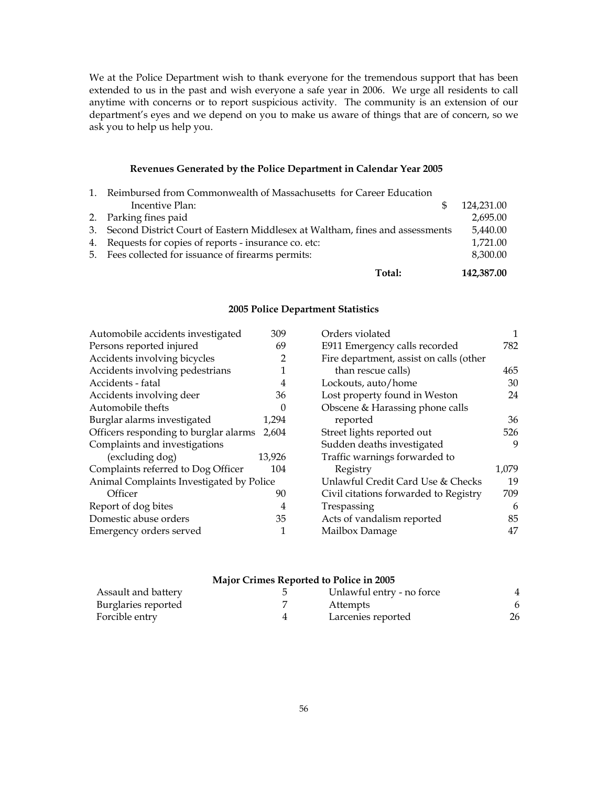We at the Police Department wish to thank everyone for the tremendous support that has been extended to us in the past and wish everyone a safe year in 2006. We urge all residents to call anytime with concerns or to report suspicious activity. The community is an extension of our department's eyes and we depend on you to make us aware of things that are of concern, so we ask you to help us help you.

### **Revenues Generated by the Police Department in Calendar Year 2005**

| Total:                                                                          | 142,387.00 |
|---------------------------------------------------------------------------------|------------|
| 5. Fees collected for issuance of firearms permits:                             | 8,300.00   |
| 4. Requests for copies of reports - insurance co. etc:                          | 1,721.00   |
| 3. Second District Court of Eastern Middlesex at Waltham, fines and assessments | 5,440.00   |
| 2. Parking fines paid                                                           | 2,695.00   |
| Incentive Plan:                                                                 | 124,231.00 |
| 1. Reimbursed from Commonwealth of Massachusetts for Career Education           |            |

### **2005 Police Department Statistics**

| Automobile accidents investigated        | 309            |
|------------------------------------------|----------------|
| Persons reported injured                 | 69             |
| Accidents involving bicycles             | $\overline{2}$ |
| Accidents involving pedestrians          | 1              |
| Accidents - fatal                        | 4              |
| Accidents involving deer                 | 36             |
| Automobile thefts                        | 0              |
| Burglar alarms investigated              | 1,294          |
| Officers responding to burglar alarms    | 2,604          |
| Complaints and investigations            |                |
| (excluding dog)                          | 13,926         |
| Complaints referred to Dog Officer       | 104            |
| Animal Complaints Investigated by Police |                |
| Officer                                  | 90             |
| Report of dog bites                      | $\overline{4}$ |
| Domestic abuse orders                    | 35             |
| Emergency orders served                  | 1              |

| Orders violated                         | 1     |
|-----------------------------------------|-------|
| E911 Emergency calls recorded           | 782   |
| Fire department, assist on calls (other |       |
| than rescue calls)                      | 465   |
| Lockouts, auto/home                     | 30    |
| Lost property found in Weston           | 24    |
| Obscene & Harassing phone calls         |       |
| reported                                | 36    |
| Street lights reported out              | 526   |
| Sudden deaths investigated              | 9     |
| Traffic warnings forwarded to           |       |
| Registry                                | 1,079 |
| Unlawful Credit Card Use & Checks       | 19    |
| Civil citations forwarded to Registry   | 709   |
| Trespassing                             | 6     |
| Acts of vandalism reported              | 85    |
| Mailbox Damage                          | 47    |

# **Major Crimes Reported to Police in 2005**

| Assault and battery | Unlawful entry - no force |    |
|---------------------|---------------------------|----|
| Burglaries reported | Attempts                  |    |
| Forcible entry      | Larcenies reported        | 26 |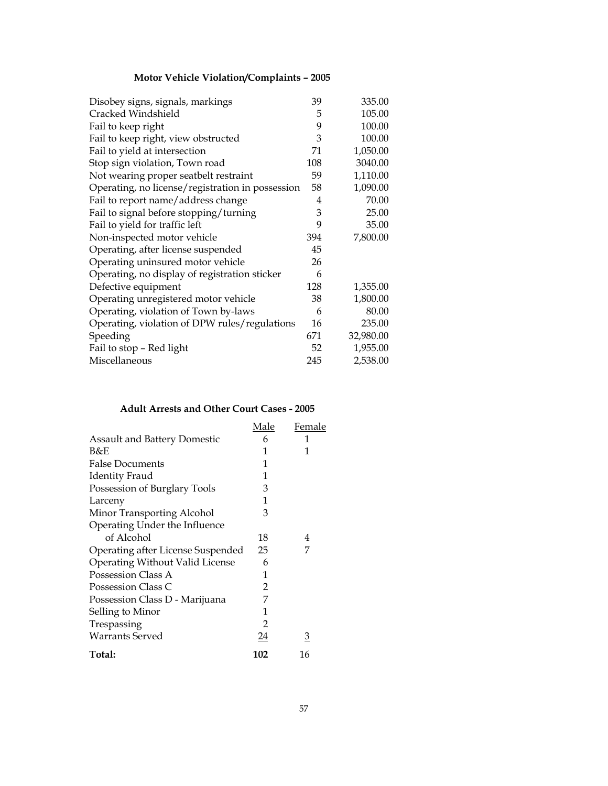# **Motor Vehicle Violation/Complaints – 2005**

| Disobey signs, signals, markings                 | 39  | 335.00    |
|--------------------------------------------------|-----|-----------|
| Cracked Windshield                               | 5   | 105.00    |
| Fail to keep right                               | 9   | 100.00    |
| Fail to keep right, view obstructed              | 3   | 100.00    |
| Fail to yield at intersection                    | 71  | 1,050.00  |
| Stop sign violation, Town road                   | 108 | 3040.00   |
| Not wearing proper seatbelt restraint            | 59  | 1,110.00  |
| Operating, no license/registration in possession | 58  | 1,090.00  |
| Fail to report name/address change               | 4   | 70.00     |
| Fail to signal before stopping/turning           | 3   | 25.00     |
| Fail to yield for traffic left                   | 9   | 35.00     |
| Non-inspected motor vehicle                      | 394 | 7,800.00  |
| Operating, after license suspended               | 45  |           |
| Operating uninsured motor vehicle                | 26  |           |
| Operating, no display of registration sticker    | 6   |           |
| Defective equipment                              | 128 | 1,355.00  |
| Operating unregistered motor vehicle             | 38  | 1,800.00  |
| Operating, violation of Town by-laws             | 6   | 80.00     |
| Operating, violation of DPW rules/regulations    | 16  | 235.00    |
| Speeding                                         | 671 | 32,980.00 |
| Fail to stop - Red light                         | 52  | 1,955.00  |
| Miscellaneous                                    | 245 | 2,538.00  |

# **Adult Arrests and Other Court Cases - 2005**

|                                     | Male | Female |
|-------------------------------------|------|--------|
| <b>Assault and Battery Domestic</b> | 6    | 1      |
| B&E                                 | 1    | 1      |
| <b>False Documents</b>              | 1    |        |
| <b>Identity Fraud</b>               | 1    |        |
| Possession of Burglary Tools        | 3    |        |
| Larceny                             | 1    |        |
| Minor Transporting Alcohol          | 3    |        |
| Operating Under the Influence       |      |        |
| of Alcohol                          | 18   | 4      |
| Operating after License Suspended   | 25   | 7      |
| Operating Without Valid License     | 6    |        |
| Possession Class A                  | 1    |        |
| Possession Class C                  | 2    |        |
| Possession Class D - Marijuana      | 7    |        |
| Selling to Minor                    | 1    |        |
| Trespassing                         | 2    |        |
| <b>Warrants Served</b>              | 24   | З      |
| Total:                              | 102  | 16     |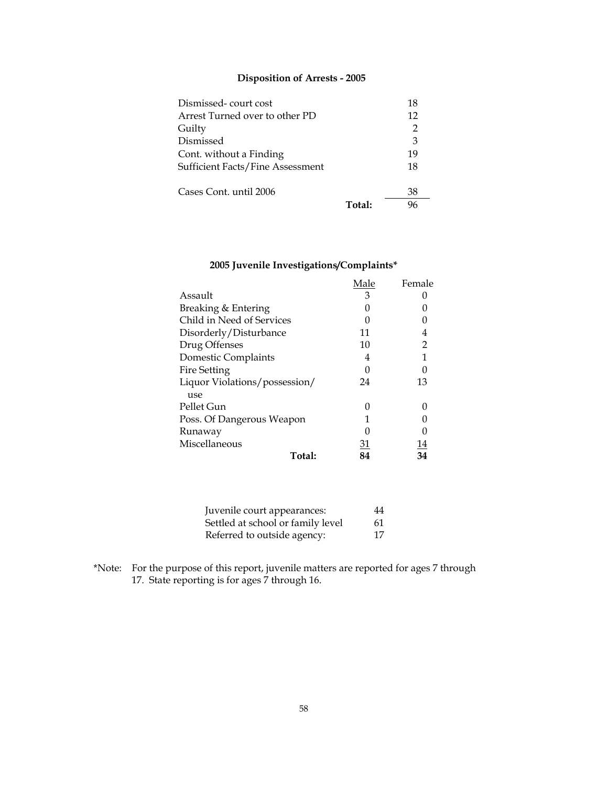# **Disposition of Arrests - 2005**

| Dismissed-court cost                    |        | 18             |
|-----------------------------------------|--------|----------------|
| Arrest Turned over to other PD          |        | 12             |
| Guilty                                  |        | $\overline{2}$ |
| Dismissed                               |        | 3              |
| Cont. without a Finding                 |        | 19             |
| <b>Sufficient Facts/Fine Assessment</b> |        | 18             |
| Cases Cont. until 2006                  |        | 38             |
|                                         | Total: |                |

# **2005 Juvenile Investigations/Complaints\***

|                               | Male            | Female |
|-------------------------------|-----------------|--------|
| Assault                       | 3               |        |
| Breaking & Entering           |                 |        |
| Child in Need of Services     |                 |        |
| Disorderly/Disturbance        | 11              | 4      |
| Drug Offenses                 | 10              | 2      |
| Domestic Complaints           | 4               |        |
| Fire Setting                  | 0               |        |
| Liquor Violations/possession/ | 24              | 13     |
| use                           |                 |        |
| Pellet Gun                    | 0               |        |
| Poss. Of Dangerous Weapon     | 1               |        |
| Runaway                       |                 |        |
| Miscellaneous                 | $\overline{31}$ | 14     |
| Total:                        | 84              | 34     |

| Juvenile court appearances:       | 44 |
|-----------------------------------|----|
| Settled at school or family level | 61 |
| Referred to outside agency:       | 17 |

\*Note: For the purpose of this report, juvenile matters are reported for ages 7 through 17. State reporting is for ages 7 through 16.